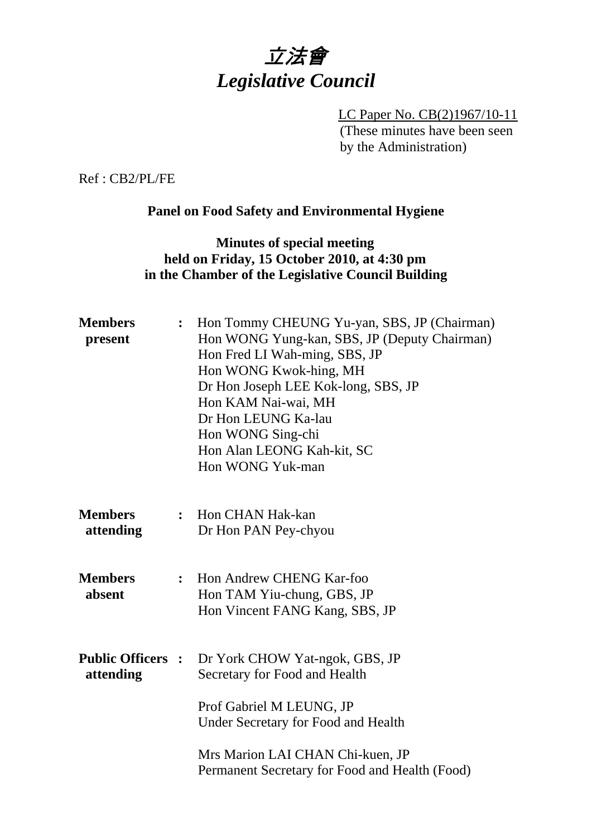

LC Paper No. CB(2)1967/10-11 (These minutes have been seen by the Administration)

Ref : CB2/PL/FE

## **Panel on Food Safety and Environmental Hygiene**

## **Minutes of special meeting held on Friday, 15 October 2010, at 4:30 pm in the Chamber of the Legislative Council Building**

| <b>Members</b><br>present             | $\ddot{\cdot}$ | Hon Tommy CHEUNG Yu-yan, SBS, JP (Chairman)<br>Hon WONG Yung-kan, SBS, JP (Deputy Chairman)<br>Hon Fred LI Wah-ming, SBS, JP<br>Hon WONG Kwok-hing, MH<br>Dr Hon Joseph LEE Kok-long, SBS, JP<br>Hon KAM Nai-wai, MH<br>Dr Hon LEUNG Ka-lau<br>Hon WONG Sing-chi<br>Hon Alan LEONG Kah-kit, SC<br>Hon WONG Yuk-man |
|---------------------------------------|----------------|--------------------------------------------------------------------------------------------------------------------------------------------------------------------------------------------------------------------------------------------------------------------------------------------------------------------|
| <b>Members</b><br>attending           | $\ddot{\cdot}$ | Hon CHAN Hak-kan<br>Dr Hon PAN Pey-chyou                                                                                                                                                                                                                                                                           |
| <b>Members</b><br>absent              | $\ddot{\cdot}$ | Hon Andrew CHENG Kar-foo<br>Hon TAM Yiu-chung, GBS, JP<br>Hon Vincent FANG Kang, SBS, JP                                                                                                                                                                                                                           |
| <b>Public Officers :</b><br>attending |                | Dr York CHOW Yat-ngok, GBS, JP<br>Secretary for Food and Health                                                                                                                                                                                                                                                    |
|                                       |                | Prof Gabriel M LEUNG, JP<br>Under Secretary for Food and Health                                                                                                                                                                                                                                                    |
|                                       |                | Mrs Marion LAI CHAN Chi-kuen, JP<br>Permanent Secretary for Food and Health (Food)                                                                                                                                                                                                                                 |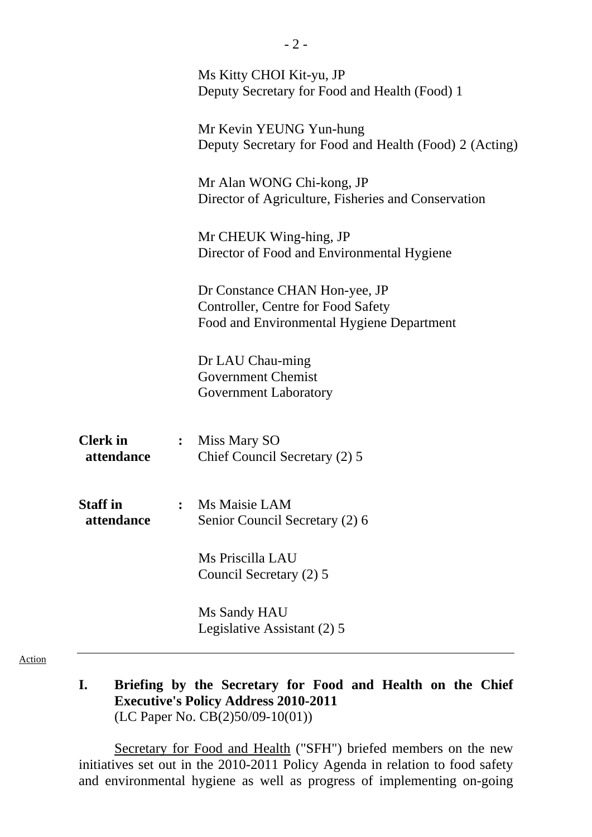|                               |                | Ms Kitty CHOI Kit-yu, JP<br>Deputy Secretary for Food and Health (Food) 1                                        |
|-------------------------------|----------------|------------------------------------------------------------------------------------------------------------------|
|                               |                | Mr Kevin YEUNG Yun-hung<br>Deputy Secretary for Food and Health (Food) 2 (Acting)                                |
|                               |                | Mr Alan WONG Chi-kong, JP<br>Director of Agriculture, Fisheries and Conservation                                 |
|                               |                | Mr CHEUK Wing-hing, JP<br>Director of Food and Environmental Hygiene                                             |
|                               |                | Dr Constance CHAN Hon-yee, JP<br>Controller, Centre for Food Safety<br>Food and Environmental Hygiene Department |
|                               |                | Dr LAU Chau-ming<br><b>Government Chemist</b><br><b>Government Laboratory</b>                                    |
| <b>Clerk</b> in<br>attendance | $\ddot{\cdot}$ | Miss Mary SO<br>Chief Council Secretary (2) 5                                                                    |
| <b>Staff</b> in<br>attendance |                | Ms Maisie LAM<br>Senior Council Secretary (2) 6                                                                  |
|                               |                | Ms Priscilla LAU<br>Council Secretary (2) 5                                                                      |
|                               |                | Ms Sandy HAU<br>Legislative Assistant (2) 5                                                                      |

Action

**I. Briefing by the Secretary for Food and Health on the Chief Executive's Policy Address 2010-2011**  (LC Paper No. CB(2)50/09-10(01))

Secretary for Food and Health ("SFH") briefed members on the new initiatives set out in the 2010-2011 Policy Agenda in relation to food safety and environmental hygiene as well as progress of implementing on-going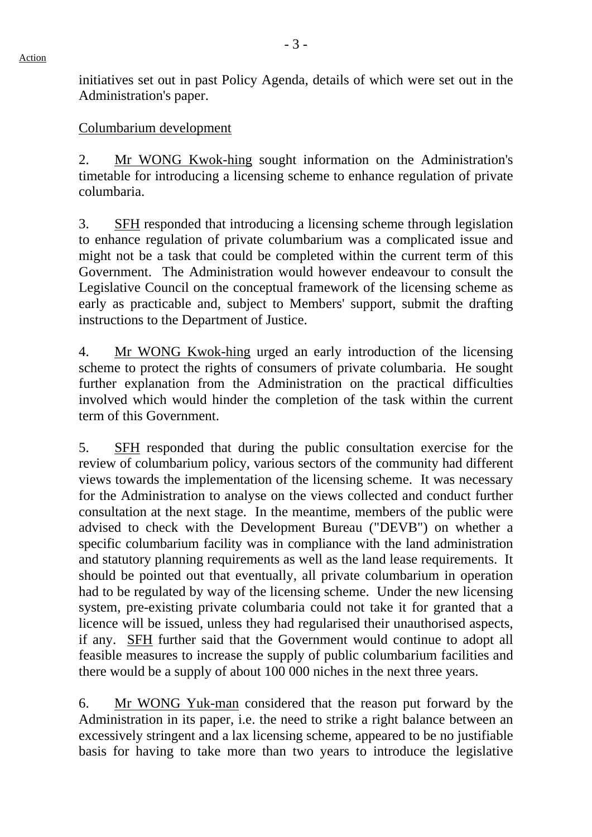initiatives set out in past Policy Agenda, details of which were set out in the Administration's paper.

#### Columbarium development

2. Mr WONG Kwok-hing sought information on the Administration's timetable for introducing a licensing scheme to enhance regulation of private columbaria.

3. SFH responded that introducing a licensing scheme through legislation to enhance regulation of private columbarium was a complicated issue and might not be a task that could be completed within the current term of this Government. The Administration would however endeavour to consult the Legislative Council on the conceptual framework of the licensing scheme as early as practicable and, subject to Members' support, submit the drafting instructions to the Department of Justice.

4. Mr WONG Kwok-hing urged an early introduction of the licensing scheme to protect the rights of consumers of private columbaria. He sought further explanation from the Administration on the practical difficulties involved which would hinder the completion of the task within the current term of this Government.

5. SFH responded that during the public consultation exercise for the review of columbarium policy, various sectors of the community had different views towards the implementation of the licensing scheme. It was necessary for the Administration to analyse on the views collected and conduct further consultation at the next stage. In the meantime, members of the public were advised to check with the Development Bureau ("DEVB") on whether a specific columbarium facility was in compliance with the land administration and statutory planning requirements as well as the land lease requirements. It should be pointed out that eventually, all private columbarium in operation had to be regulated by way of the licensing scheme. Under the new licensing system, pre-existing private columbaria could not take it for granted that a licence will be issued, unless they had regularised their unauthorised aspects, if any. SFH further said that the Government would continue to adopt all feasible measures to increase the supply of public columbarium facilities and there would be a supply of about 100 000 niches in the next three years.

6. Mr WONG Yuk-man considered that the reason put forward by the Administration in its paper, i.e. the need to strike a right balance between an excessively stringent and a lax licensing scheme, appeared to be no justifiable basis for having to take more than two years to introduce the legislative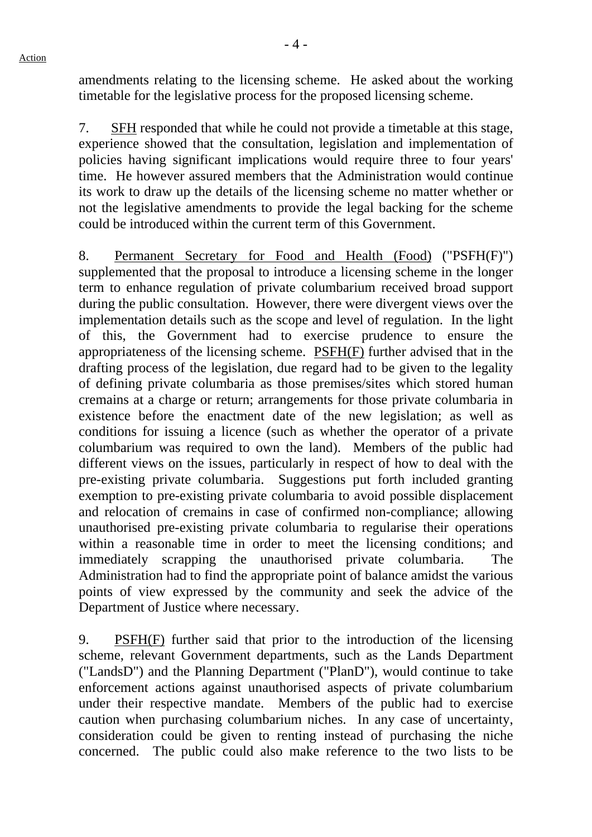amendments relating to the licensing scheme. He asked about the working timetable for the legislative process for the proposed licensing scheme.

7. SFH responded that while he could not provide a timetable at this stage, experience showed that the consultation, legislation and implementation of policies having significant implications would require three to four years' time. He however assured members that the Administration would continue its work to draw up the details of the licensing scheme no matter whether or not the legislative amendments to provide the legal backing for the scheme could be introduced within the current term of this Government.

8. Permanent Secretary for Food and Health (Food) ("PSFH(F)") supplemented that the proposal to introduce a licensing scheme in the longer term to enhance regulation of private columbarium received broad support during the public consultation. However, there were divergent views over the implementation details such as the scope and level of regulation. In the light of this, the Government had to exercise prudence to ensure the appropriateness of the licensing scheme. PSFH(F) further advised that in the drafting process of the legislation, due regard had to be given to the legality of defining private columbaria as those premises/sites which stored human cremains at a charge or return; arrangements for those private columbaria in existence before the enactment date of the new legislation; as well as conditions for issuing a licence (such as whether the operator of a private columbarium was required to own the land). Members of the public had different views on the issues, particularly in respect of how to deal with the pre-existing private columbaria. Suggestions put forth included granting exemption to pre-existing private columbaria to avoid possible displacement and relocation of cremains in case of confirmed non-compliance; allowing unauthorised pre-existing private columbaria to regularise their operations within a reasonable time in order to meet the licensing conditions; and immediately scrapping the unauthorised private columbaria. The Administration had to find the appropriate point of balance amidst the various points of view expressed by the community and seek the advice of the Department of Justice where necessary.

9. PSFH(F) further said that prior to the introduction of the licensing scheme, relevant Government departments, such as the Lands Department ("LandsD") and the Planning Department ("PlanD"), would continue to take enforcement actions against unauthorised aspects of private columbarium under their respective mandate. Members of the public had to exercise caution when purchasing columbarium niches. In any case of uncertainty, consideration could be given to renting instead of purchasing the niche concerned. The public could also make reference to the two lists to be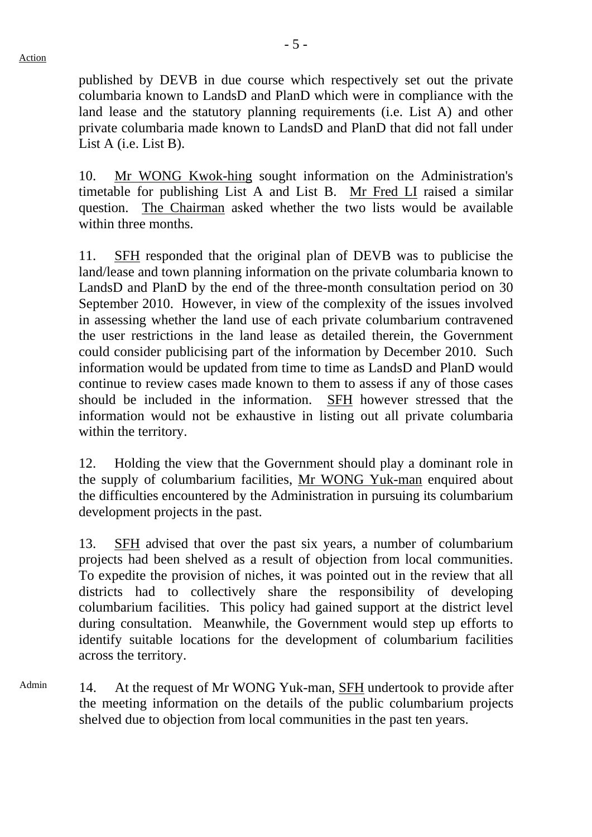published by DEVB in due course which respectively set out the private columbaria known to LandsD and PlanD which were in compliance with the land lease and the statutory planning requirements (i.e. List A) and other private columbaria made known to LandsD and PlanD that did not fall under List A (i.e. List B).

10. Mr WONG Kwok-hing sought information on the Administration's timetable for publishing List A and List B. Mr Fred LI raised a similar question. The Chairman asked whether the two lists would be available within three months.

11. SFH responded that the original plan of DEVB was to publicise the land/lease and town planning information on the private columbaria known to LandsD and PlanD by the end of the three-month consultation period on 30 September 2010. However, in view of the complexity of the issues involved in assessing whether the land use of each private columbarium contravened the user restrictions in the land lease as detailed therein, the Government could consider publicising part of the information by December 2010. Such information would be updated from time to time as LandsD and PlanD would continue to review cases made known to them to assess if any of those cases should be included in the information. SFH however stressed that the information would not be exhaustive in listing out all private columbaria within the territory.

12. Holding the view that the Government should play a dominant role in the supply of columbarium facilities, Mr WONG Yuk-man enquired about the difficulties encountered by the Administration in pursuing its columbarium development projects in the past.

13. SFH advised that over the past six years, a number of columbarium projects had been shelved as a result of objection from local communities. To expedite the provision of niches, it was pointed out in the review that all districts had to collectively share the responsibility of developing columbarium facilities. This policy had gained support at the district level during consultation. Meanwhile, the Government would step up efforts to identify suitable locations for the development of columbarium facilities across the territory.

Admin 14. At the request of Mr WONG Yuk-man, SFH undertook to provide after the meeting information on the details of the public columbarium projects shelved due to objection from local communities in the past ten years.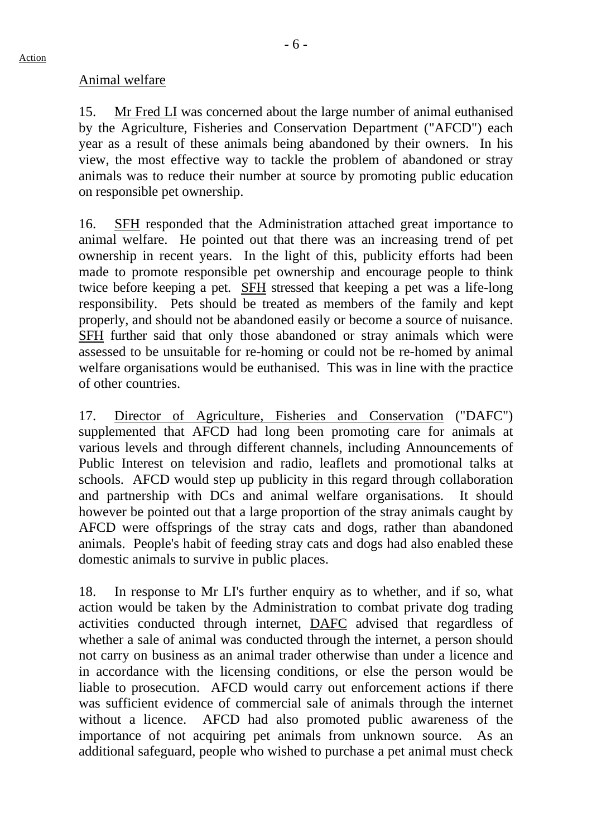#### Animal welfare

15. Mr Fred LI was concerned about the large number of animal euthanised by the Agriculture, Fisheries and Conservation Department ("AFCD") each year as a result of these animals being abandoned by their owners. In his view, the most effective way to tackle the problem of abandoned or stray animals was to reduce their number at source by promoting public education on responsible pet ownership.

16. SFH responded that the Administration attached great importance to animal welfare. He pointed out that there was an increasing trend of pet ownership in recent years. In the light of this, publicity efforts had been made to promote responsible pet ownership and encourage people to think twice before keeping a pet. SFH stressed that keeping a pet was a life-long responsibility. Pets should be treated as members of the family and kept properly, and should not be abandoned easily or become a source of nuisance. SFH further said that only those abandoned or stray animals which were assessed to be unsuitable for re-homing or could not be re-homed by animal welfare organisations would be euthanised. This was in line with the practice of other countries.

17. Director of Agriculture, Fisheries and Conservation ("DAFC") supplemented that AFCD had long been promoting care for animals at various levels and through different channels, including Announcements of Public Interest on television and radio, leaflets and promotional talks at schools. AFCD would step up publicity in this regard through collaboration and partnership with DCs and animal welfare organisations. It should however be pointed out that a large proportion of the stray animals caught by AFCD were offsprings of the stray cats and dogs, rather than abandoned animals. People's habit of feeding stray cats and dogs had also enabled these domestic animals to survive in public places.

18. In response to Mr LI's further enquiry as to whether, and if so, what action would be taken by the Administration to combat private dog trading activities conducted through internet, DAFC advised that regardless of whether a sale of animal was conducted through the internet, a person should not carry on business as an animal trader otherwise than under a licence and in accordance with the licensing conditions, or else the person would be liable to prosecution. AFCD would carry out enforcement actions if there was sufficient evidence of commercial sale of animals through the internet without a licence. AFCD had also promoted public awareness of the importance of not acquiring pet animals from unknown source. As an additional safeguard, people who wished to purchase a pet animal must check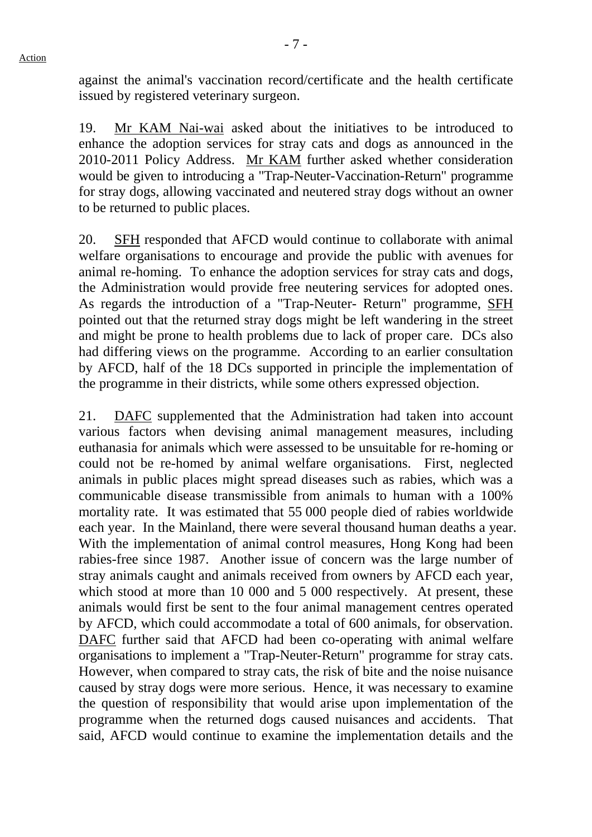against the animal's vaccination record/certificate and the health certificate issued by registered veterinary surgeon.

19. Mr KAM Nai-wai asked about the initiatives to be introduced to enhance the adoption services for stray cats and dogs as announced in the 2010-2011 Policy Address. Mr KAM further asked whether consideration would be given to introducing a "Trap-Neuter-Vaccination-Return" programme for stray dogs, allowing vaccinated and neutered stray dogs without an owner to be returned to public places.

20. SFH responded that AFCD would continue to collaborate with animal welfare organisations to encourage and provide the public with avenues for animal re-homing. To enhance the adoption services for stray cats and dogs, the Administration would provide free neutering services for adopted ones. As regards the introduction of a "Trap-Neuter- Return" programme, SFH pointed out that the returned stray dogs might be left wandering in the street and might be prone to health problems due to lack of proper care. DCs also had differing views on the programme. According to an earlier consultation by AFCD, half of the 18 DCs supported in principle the implementation of the programme in their districts, while some others expressed objection.

21. DAFC supplemented that the Administration had taken into account various factors when devising animal management measures, including euthanasia for animals which were assessed to be unsuitable for re-homing or could not be re-homed by animal welfare organisations. First, neglected animals in public places might spread diseases such as rabies, which was a communicable disease transmissible from animals to human with a 100% mortality rate. It was estimated that 55 000 people died of rabies worldwide each year. In the Mainland, there were several thousand human deaths a year. With the implementation of animal control measures, Hong Kong had been rabies-free since 1987. Another issue of concern was the large number of stray animals caught and animals received from owners by AFCD each year, which stood at more than 10 000 and 5 000 respectively. At present, these animals would first be sent to the four animal management centres operated by AFCD, which could accommodate a total of 600 animals, for observation. DAFC further said that AFCD had been co-operating with animal welfare organisations to implement a "Trap-Neuter-Return" programme for stray cats. However, when compared to stray cats, the risk of bite and the noise nuisance caused by stray dogs were more serious. Hence, it was necessary to examine the question of responsibility that would arise upon implementation of the programme when the returned dogs caused nuisances and accidents. That said, AFCD would continue to examine the implementation details and the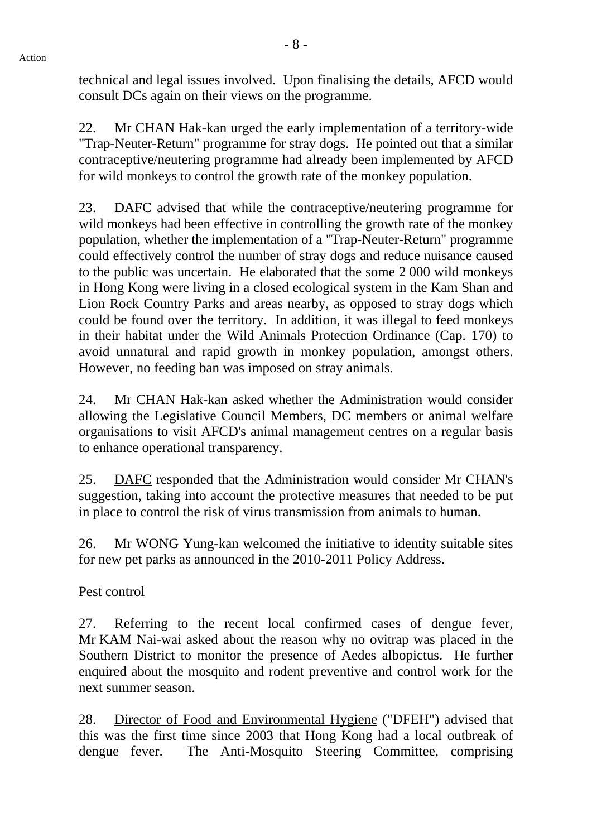technical and legal issues involved. Upon finalising the details, AFCD would consult DCs again on their views on the programme.

22. Mr CHAN Hak-kan urged the early implementation of a territory-wide "Trap-Neuter-Return" programme for stray dogs. He pointed out that a similar contraceptive/neutering programme had already been implemented by AFCD for wild monkeys to control the growth rate of the monkey population.

23. DAFC advised that while the contraceptive/neutering programme for wild monkeys had been effective in controlling the growth rate of the monkey population, whether the implementation of a "Trap-Neuter-Return" programme could effectively control the number of stray dogs and reduce nuisance caused to the public was uncertain. He elaborated that the some 2 000 wild monkeys in Hong Kong were living in a closed ecological system in the Kam Shan and Lion Rock Country Parks and areas nearby, as opposed to stray dogs which could be found over the territory. In addition, it was illegal to feed monkeys in their habitat under the Wild Animals Protection Ordinance (Cap. 170) to avoid unnatural and rapid growth in monkey population, amongst others. However, no feeding ban was imposed on stray animals.

24. Mr CHAN Hak-kan asked whether the Administration would consider allowing the Legislative Council Members, DC members or animal welfare organisations to visit AFCD's animal management centres on a regular basis to enhance operational transparency.

25. DAFC responded that the Administration would consider Mr CHAN's suggestion, taking into account the protective measures that needed to be put in place to control the risk of virus transmission from animals to human.

26. Mr WONG Yung-kan welcomed the initiative to identity suitable sites for new pet parks as announced in the 2010-2011 Policy Address.

Pest control

27. Referring to the recent local confirmed cases of dengue fever, Mr KAM Nai-wai asked about the reason why no ovitrap was placed in the Southern District to monitor the presence of Aedes albopictus. He further enquired about the mosquito and rodent preventive and control work for the next summer season.

28. Director of Food and Environmental Hygiene ("DFEH") advised that this was the first time since 2003 that Hong Kong had a local outbreak of dengue fever. The Anti-Mosquito Steering Committee, comprising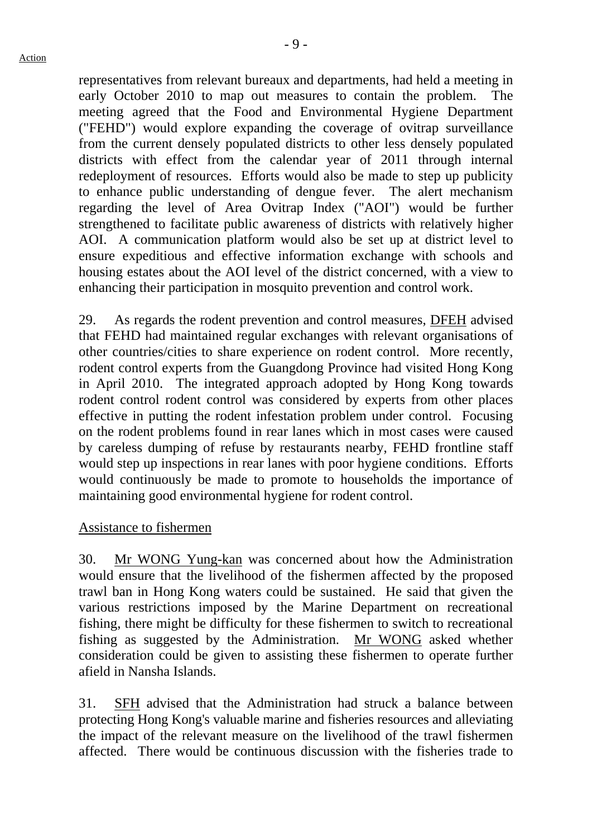- 9 -

representatives from relevant bureaux and departments, had held a meeting in early October 2010 to map out measures to contain the problem. The meeting agreed that the Food and Environmental Hygiene Department ("FEHD") would explore expanding the coverage of ovitrap surveillance from the current densely populated districts to other less densely populated districts with effect from the calendar year of 2011 through internal redeployment of resources. Efforts would also be made to step up publicity to enhance public understanding of dengue fever. The alert mechanism regarding the level of Area Ovitrap Index ("AOI") would be further strengthened to facilitate public awareness of districts with relatively higher AOI. A communication platform would also be set up at district level to ensure expeditious and effective information exchange with schools and housing estates about the AOI level of the district concerned, with a view to enhancing their participation in mosquito prevention and control work.

29. As regards the rodent prevention and control measures, DFEH advised that FEHD had maintained regular exchanges with relevant organisations of other countries/cities to share experience on rodent control. More recently, rodent control experts from the Guangdong Province had visited Hong Kong in April 2010. The integrated approach adopted by Hong Kong towards rodent control rodent control was considered by experts from other places effective in putting the rodent infestation problem under control. Focusing on the rodent problems found in rear lanes which in most cases were caused by careless dumping of refuse by restaurants nearby, FEHD frontline staff would step up inspections in rear lanes with poor hygiene conditions. Efforts would continuously be made to promote to households the importance of maintaining good environmental hygiene for rodent control.

## Assistance to fishermen

30. Mr WONG Yung-kan was concerned about how the Administration would ensure that the livelihood of the fishermen affected by the proposed trawl ban in Hong Kong waters could be sustained. He said that given the various restrictions imposed by the Marine Department on recreational fishing, there might be difficulty for these fishermen to switch to recreational fishing as suggested by the Administration. Mr WONG asked whether consideration could be given to assisting these fishermen to operate further afield in Nansha Islands.

31. SFH advised that the Administration had struck a balance between protecting Hong Kong's valuable marine and fisheries resources and alleviating the impact of the relevant measure on the livelihood of the trawl fishermen affected. There would be continuous discussion with the fisheries trade to